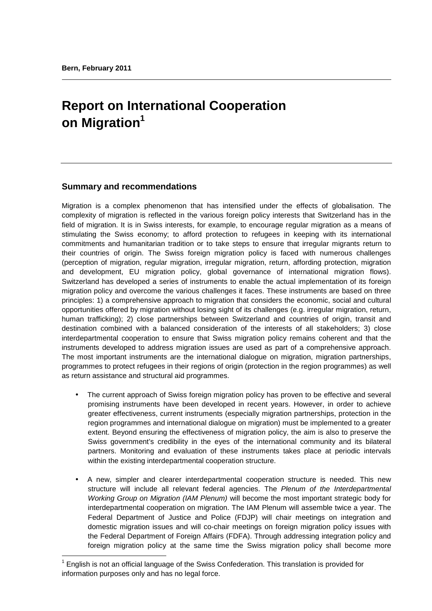l

# **Report on International Cooperation on Migration<sup>1</sup>**

# **Summary and recommendations**

Migration is a complex phenomenon that has intensified under the effects of globalisation. The complexity of migration is reflected in the various foreign policy interests that Switzerland has in the field of migration. It is in Swiss interests, for example, to encourage regular migration as a means of stimulating the Swiss economy; to afford protection to refugees in keeping with its international commitments and humanitarian tradition or to take steps to ensure that irregular migrants return to their countries of origin. The Swiss foreign migration policy is faced with numerous challenges (perception of migration, regular migration, irregular migration, return, affording protection, migration and development, EU migration policy, global governance of international migration flows). Switzerland has developed a series of instruments to enable the actual implementation of its foreign migration policy and overcome the various challenges it faces. These instruments are based on three principles: 1) a comprehensive approach to migration that considers the economic, social and cultural opportunities offered by migration without losing sight of its challenges (e.g. irregular migration, return, human trafficking); 2) close partnerships between Switzerland and countries of origin, transit and destination combined with a balanced consideration of the interests of all stakeholders; 3) close interdepartmental cooperation to ensure that Swiss migration policy remains coherent and that the instruments developed to address migration issues are used as part of a comprehensive approach. The most important instruments are the international dialogue on migration, migration partnerships, programmes to protect refugees in their regions of origin (protection in the region programmes) as well as return assistance and structural aid programmes.

- The current approach of Swiss foreign migration policy has proven to be effective and several promising instruments have been developed in recent years. However, in order to achieve greater effectiveness, current instruments (especially migration partnerships, protection in the region programmes and international dialogue on migration) must be implemented to a greater extent. Beyond ensuring the effectiveness of migration policy, the aim is also to preserve the Swiss government's credibility in the eyes of the international community and its bilateral partners. Monitoring and evaluation of these instruments takes place at periodic intervals within the existing interdepartmental cooperation structure.
- A new, simpler and clearer interdepartmental cooperation structure is needed. This new structure will include all relevant federal agencies. The Plenum of the Interdepartmental Working Group on Migration (IAM Plenum) will become the most important strategic body for interdepartmental cooperation on migration. The IAM Plenum will assemble twice a year. The Federal Department of Justice and Police (FDJP) will chair meetings on integration and domestic migration issues and will co-chair meetings on foreign migration policy issues with the Federal Department of Foreign Affairs (FDFA). Through addressing integration policy and foreign migration policy at the same time the Swiss migration policy shall become more

 $1$  English is not an official language of the Swiss Confederation. This translation is provided for information purposes only and has no legal force.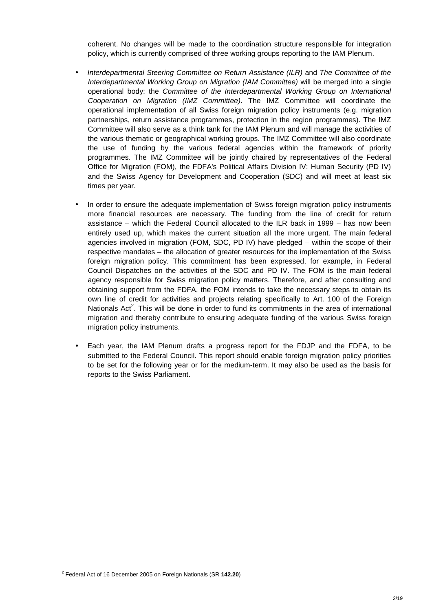coherent. No changes will be made to the coordination structure responsible for integration policy, which is currently comprised of three working groups reporting to the IAM Plenum.

- Interdepartmental Steering Committee on Return Assistance (ILR) and The Committee of the Interdepartmental Working Group on Migration (IAM Committee) will be merged into a single operational body: the Committee of the Interdepartmental Working Group on International Cooperation on Migration (IMZ Committee). The IMZ Committee will coordinate the operational implementation of all Swiss foreign migration policy instruments (e.g. migration partnerships, return assistance programmes, protection in the region programmes). The IMZ Committee will also serve as a think tank for the IAM Plenum and will manage the activities of the various thematic or geographical working groups. The IMZ Committee will also coordinate the use of funding by the various federal agencies within the framework of priority programmes. The IMZ Committee will be jointly chaired by representatives of the Federal Office for Migration (FOM), the FDFA's Political Affairs Division IV: Human Security (PD IV) and the Swiss Agency for Development and Cooperation (SDC) and will meet at least six times per year.
- In order to ensure the adequate implementation of Swiss foreign migration policy instruments more financial resources are necessary. The funding from the line of credit for return assistance – which the Federal Council allocated to the ILR back in 1999 – has now been entirely used up, which makes the current situation all the more urgent. The main federal agencies involved in migration (FOM, SDC, PD IV) have pledged – within the scope of their respective mandates – the allocation of greater resources for the implementation of the Swiss foreign migration policy. This commitment has been expressed, for example, in Federal Council Dispatches on the activities of the SDC and PD IV. The FOM is the main federal agency responsible for Swiss migration policy matters. Therefore, and after consulting and obtaining support from the FDFA, the FOM intends to take the necessary steps to obtain its own line of credit for activities and projects relating specifically to Art. 100 of the Foreign Nationals Act<sup>2</sup>. This will be done in order to fund its commitments in the area of international migration and thereby contribute to ensuring adequate funding of the various Swiss foreign migration policy instruments.
- Each year, the IAM Plenum drafts a progress report for the FDJP and the FDFA, to be submitted to the Federal Council. This report should enable foreign migration policy priorities to be set for the following year or for the medium-term. It may also be used as the basis for reports to the Swiss Parliament.

 2 Federal Act of 16 December 2005 on Foreign Nationals (SR **142.20**)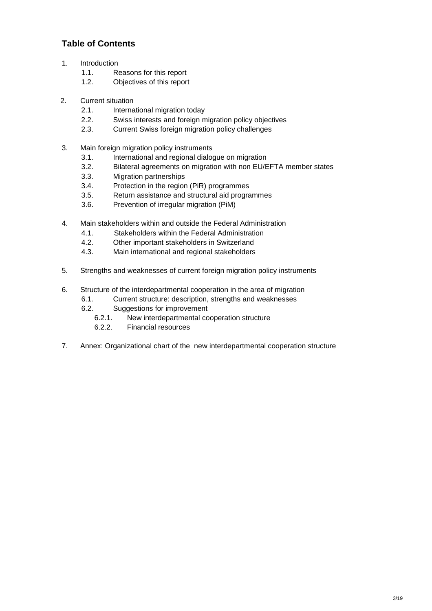# **Table of Contents**

- 1. Introduction
	- 1.1. Reasons for this report
	- 1.2. Objectives of this report
- 2. Current situation
	- 2.1. International migration today
	- 2.2. Swiss interests and foreign migration policy objectives
	- 2.3. Current Swiss foreign migration policy challenges
- 3. Main foreign migration policy instruments
	- 3.1. International and regional dialogue on migration
	- 3.2. Bilateral agreements on migration with non EU/EFTA member states
	- 3.3. Migration partnerships
	- 3.4. Protection in the region (PiR) programmes
	- 3.5. Return assistance and structural aid programmes
	- 3.6. Prevention of irregular migration (PiM)
- 4. Main stakeholders within and outside the Federal Administration
	- 4.1. Stakeholders within the Federal Administration
	- 4.2. Other important stakeholders in Switzerland
	- 4.3. Main international and regional stakeholders
- 5. Strengths and weaknesses of current foreign migration policy instruments
- 6. Structure of the interdepartmental cooperation in the area of migration
	- 6.1. Current structure: description, strengths and weaknesses
	- 6.2. Suggestions for improvement
		- 6.2.1. New interdepartmental cooperation structure
		- 6.2.2. Financial resources
- 7. Annex: Organizational chart of the new interdepartmental cooperation structure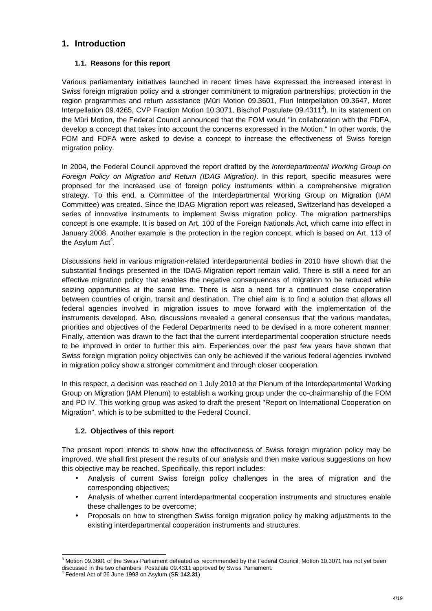# **1. Introduction**

## **1.1. Reasons for this report**

Various parliamentary initiatives launched in recent times have expressed the increased interest in Swiss foreign migration policy and a stronger commitment to migration partnerships, protection in the region programmes and return assistance (Müri Motion 09.3601, Fluri Interpellation 09.3647, Moret Interpellation 09.4265, CVP Fraction Motion 10.3071, Bischof Postulate 09.4311 $3$ ). In its statement on the Müri Motion, the Federal Council announced that the FOM would "in collaboration with the FDFA, develop a concept that takes into account the concerns expressed in the Motion." In other words, the FOM and FDFA were asked to devise a concept to increase the effectiveness of Swiss foreign migration policy.

In 2004, the Federal Council approved the report drafted by the Interdepartmental Working Group on Foreign Policy on Migration and Return (IDAG Migration). In this report, specific measures were proposed for the increased use of foreign policy instruments within a comprehensive migration strategy. To this end, a Committee of the Interdepartmental Working Group on Migration (IAM Committee) was created. Since the IDAG Migration report was released, Switzerland has developed a series of innovative instruments to implement Swiss migration policy. The migration partnerships concept is one example. It is based on Art. 100 of the Foreign Nationals Act, which came into effect in January 2008. Another example is the protection in the region concept, which is based on Art. 113 of the Asylum Act<sup>4</sup>.

Discussions held in various migration-related interdepartmental bodies in 2010 have shown that the substantial findings presented in the IDAG Migration report remain valid. There is still a need for an effective migration policy that enables the negative consequences of migration to be reduced while seizing opportunities at the same time. There is also a need for a continued close cooperation between countries of origin, transit and destination. The chief aim is to find a solution that allows all federal agencies involved in migration issues to move forward with the implementation of the instruments developed. Also, discussions revealed a general consensus that the various mandates, priorities and objectives of the Federal Departments need to be devised in a more coherent manner. Finally, attention was drawn to the fact that the current interdepartmental cooperation structure needs to be improved in order to further this aim. Experiences over the past few years have shown that Swiss foreign migration policy objectives can only be achieved if the various federal agencies involved in migration policy show a stronger commitment and through closer cooperation.

In this respect, a decision was reached on 1 July 2010 at the Plenum of the Interdepartmental Working Group on Migration (IAM Plenum) to establish a working group under the co-chairmanship of the FOM and PD IV. This working group was asked to draft the present "Report on International Cooperation on Migration", which is to be submitted to the Federal Council.

## **1.2. Objectives of this report**

The present report intends to show how the effectiveness of Swiss foreign migration policy may be improved. We shall first present the results of our analysis and then make various suggestions on how this objective may be reached. Specifically, this report includes:

- Analysis of current Swiss foreign policy challenges in the area of migration and the corresponding objectives;
- Analysis of whether current interdepartmental cooperation instruments and structures enable these challenges to be overcome;
- Proposals on how to strengthen Swiss foreign migration policy by making adjustments to the existing interdepartmental cooperation instruments and structures.

 3 Motion 09.3601 of the Swiss Parliament defeated as recommended by the Federal Council; Motion 10.3071 has not yet been discussed in the two chambers; Postulate 09.4311 approved by Swiss Parliament.<br><sup>4</sup> Eoderal Act of 26, lune 1008 ap Apylum (SB **142.31**)

Federal Act of 26 June 1998 on Asylum (SR **142.31**)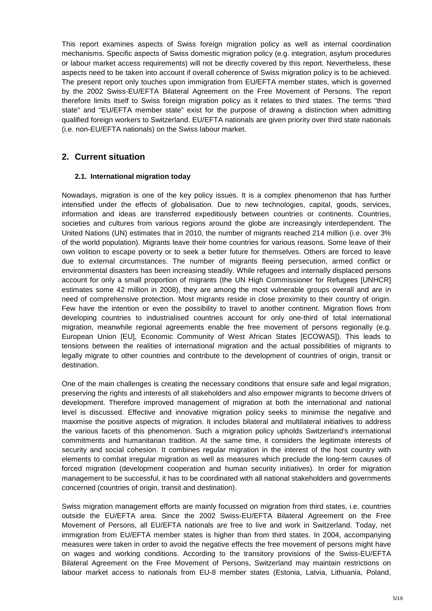This report examines aspects of Swiss foreign migration policy as well as internal coordination mechanisms. Specific aspects of Swiss domestic migration policy (e.g. integration, asylum procedures or labour market access requirements) will not be directly covered by this report. Nevertheless, these aspects need to be taken into account if overall coherence of Swiss migration policy is to be achieved. The present report only touches upon immigration from EU/EFTA member states, which is governed by the 2002 Swiss-EU/EFTA Bilateral Agreement on the Free Movement of Persons. The report therefore limits itself to Swiss foreign migration policy as it relates to third states. The terms "third state" and "EU/EFTA member state" exist for the purpose of drawing a distinction when admitting qualified foreign workers to Switzerland. EU/EFTA nationals are given priority over third state nationals (i.e. non-EU/EFTA nationals) on the Swiss labour market.

# **2. Current situation**

#### **2.1. International migration today**

Nowadays, migration is one of the key policy issues. It is a complex phenomenon that has further intensified under the effects of globalisation. Due to new technologies, capital, goods, services, information and ideas are transferred expeditiously between countries or continents. Countries, societies and cultures from various regions around the globe are increasingly interdependent. The United Nations (UN) estimates that in 2010, the number of migrants reached 214 million (i.e. over 3% of the world population). Migrants leave their home countries for various reasons. Some leave of their own volition to escape poverty or to seek a better future for themselves. Others are forced to leave due to external circumstances. The number of migrants fleeing persecution, armed conflict or environmental disasters has been increasing steadily. While refugees and internally displaced persons account for only a small proportion of migrants (the UN High Commissioner for Refugees [UNHCR] estimates some 42 million in 2008), they are among the most vulnerable groups overall and are in need of comprehensive protection. Most migrants reside in close proximity to their country of origin. Few have the intention or even the possibility to travel to another continent. Migration flows from developing countries to industrialised countries account for only one-third of total international migration, meanwhile regional agreements enable the free movement of persons regionally (e.g. European Union [EU], Economic Community of West African States [ECOWAS]). This leads to tensions between the realities of international migration and the actual possibilities of migrants to legally migrate to other countries and contribute to the development of countries of origin, transit or destination.

One of the main challenges is creating the necessary conditions that ensure safe and legal migration, preserving the rights and interests of all stakeholders and also empower migrants to become drivers of development. Therefore improved management of migration at both the international and national level is discussed. Effective and innovative migration policy seeks to minimise the negative and maximise the positive aspects of migration. It includes bilateral and multilateral initiatives to address the various facets of this phenomenon. Such a migration policy upholds Switzerland's international commitments and humanitarian tradition. At the same time, it considers the legitimate interests of security and social cohesion. It combines regular migration in the interest of the host country with elements to combat irregular migration as well as measures which preclude the long-term causes of forced migration (development cooperation and human security initiatives). In order for migration management to be successful, it has to be coordinated with all national stakeholders and governments concerned (countries of origin, transit and destination).

Swiss migration management efforts are mainly focussed on migration from third states, i.e. countries outside the EU/EFTA area. Since the 2002 Swiss-EU/EFTA Bilateral Agreement on the Free Movement of Persons, all EU/EFTA nationals are free to live and work in Switzerland. Today, net immigration from EU/EFTA member states is higher than from third states. In 2004, accompanying measures were taken in order to avoid the negative effects the free movement of persons might have on wages and working conditions. According to the transitory provisions of the Swiss-EU/EFTA Bilateral Agreement on the Free Movement of Persons, Switzerland may maintain restrictions on labour market access to nationals from EU-8 member states (Estonia, Latvia, Lithuania, Poland,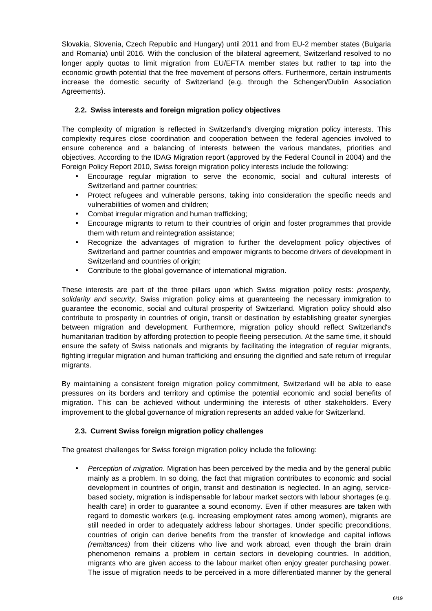Slovakia, Slovenia, Czech Republic and Hungary) until 2011 and from EU-2 member states (Bulgaria and Romania) until 2016. With the conclusion of the bilateral agreement, Switzerland resolved to no longer apply quotas to limit migration from EU/EFTA member states but rather to tap into the economic growth potential that the free movement of persons offers. Furthermore, certain instruments increase the domestic security of Switzerland (e.g. through the Schengen/Dublin Association Agreements).

## **2.2. Swiss interests and foreign migration policy objectives**

The complexity of migration is reflected in Switzerland's diverging migration policy interests. This complexity requires close coordination and cooperation between the federal agencies involved to ensure coherence and a balancing of interests between the various mandates, priorities and objectives. According to the IDAG Migration report (approved by the Federal Council in 2004) and the Foreign Policy Report 2010, Swiss foreign migration policy interests include the following:

- Encourage regular migration to serve the economic, social and cultural interests of Switzerland and partner countries;
- Protect refugees and vulnerable persons, taking into consideration the specific needs and vulnerabilities of women and children;
- Combat irregular migration and human trafficking;
- Encourage migrants to return to their countries of origin and foster programmes that provide them with return and reintegration assistance;
- Recognize the advantages of migration to further the development policy objectives of Switzerland and partner countries and empower migrants to become drivers of development in Switzerland and countries of origin;
- Contribute to the global governance of international migration.

These interests are part of the three pillars upon which Swiss migration policy rests: prosperity, solidarity and security. Swiss migration policy aims at guaranteeing the necessary immigration to guarantee the economic, social and cultural prosperity of Switzerland. Migration policy should also contribute to prosperity in countries of origin, transit or destination by establishing greater synergies between migration and development. Furthermore, migration policy should reflect Switzerland's humanitarian tradition by affording protection to people fleeing persecution. At the same time, it should ensure the safety of Swiss nationals and migrants by facilitating the integration of regular migrants, fighting irregular migration and human trafficking and ensuring the dignified and safe return of irregular migrants.

By maintaining a consistent foreign migration policy commitment, Switzerland will be able to ease pressures on its borders and territory and optimise the potential economic and social benefits of migration. This can be achieved without undermining the interests of other stakeholders. Every improvement to the global governance of migration represents an added value for Switzerland.

## **2.3. Current Swiss foreign migration policy challenges**

The greatest challenges for Swiss foreign migration policy include the following:

• Perception of migration. Migration has been perceived by the media and by the general public mainly as a problem. In so doing, the fact that migration contributes to economic and social development in countries of origin, transit and destination is neglected. In an aging, servicebased society, migration is indispensable for labour market sectors with labour shortages (e.g. health care) in order to guarantee a sound economy. Even if other measures are taken with regard to domestic workers (e.g. increasing employment rates among women), migrants are still needed in order to adequately address labour shortages. Under specific preconditions, countries of origin can derive benefits from the transfer of knowledge and capital inflows (remittances) from their citizens who live and work abroad, even though the brain drain phenomenon remains a problem in certain sectors in developing countries. In addition, migrants who are given access to the labour market often enjoy greater purchasing power. The issue of migration needs to be perceived in a more differentiated manner by the general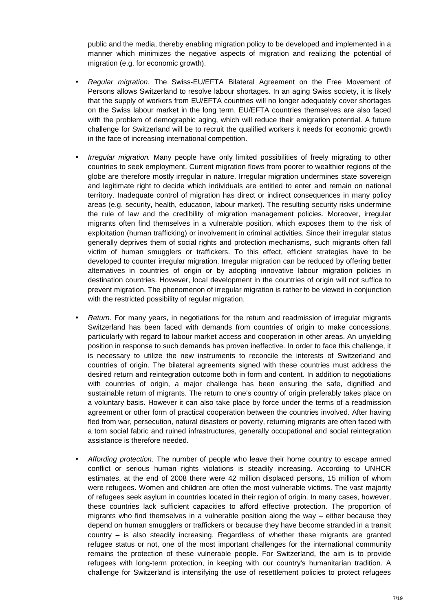public and the media, thereby enabling migration policy to be developed and implemented in a manner which minimizes the negative aspects of migration and realizing the potential of migration (e.g. for economic growth).

- Regular migration. The Swiss-EU/EFTA Bilateral Agreement on the Free Movement of Persons allows Switzerland to resolve labour shortages. In an aging Swiss society, it is likely that the supply of workers from EU/EFTA countries will no longer adequately cover shortages on the Swiss labour market in the long term. EU/EFTA countries themselves are also faced with the problem of demographic aging, which will reduce their emigration potential. A future challenge for Switzerland will be to recruit the qualified workers it needs for economic growth in the face of increasing international competition.
- Irregular migration. Many people have only limited possibilities of freely migrating to other countries to seek employment. Current migration flows from poorer to wealthier regions of the globe are therefore mostly irregular in nature. Irregular migration undermines state sovereign and legitimate right to decide which individuals are entitled to enter and remain on national territory. Inadequate control of migration has direct or indirect consequences in many policy areas (e.g. security, health, education, labour market). The resulting security risks undermine the rule of law and the credibility of migration management policies. Moreover, irregular migrants often find themselves in a vulnerable position, which exposes them to the risk of exploitation (human trafficking) or involvement in criminal activities. Since their irregular status generally deprives them of social rights and protection mechanisms, such migrants often fall victim of human smugglers or traffickers. To this effect, efficient strategies have to be developed to counter irregular migration. Irregular migration can be reduced by offering better alternatives in countries of origin or by adopting innovative labour migration policies in destination countries. However, local development in the countries of origin will not suffice to prevent migration. The phenomenon of irregular migration is rather to be viewed in conjunction with the restricted possibility of regular migration.
- Return. For many years, in negotiations for the return and readmission of irregular migrants Switzerland has been faced with demands from countries of origin to make concessions, particularly with regard to labour market access and cooperation in other areas. An unyielding position in response to such demands has proven ineffective. In order to face this challenge, it is necessary to utilize the new instruments to reconcile the interests of Switzerland and countries of origin. The bilateral agreements signed with these countries must address the desired return and reintegration outcome both in form and content. In addition to negotiations with countries of origin, a major challenge has been ensuring the safe, dignified and sustainable return of migrants. The return to one's country of origin preferably takes place on a voluntary basis. However it can also take place by force under the terms of a readmission agreement or other form of practical cooperation between the countries involved. After having fled from war, persecution, natural disasters or poverty, returning migrants are often faced with a torn social fabric and ruined infrastructures, generally occupational and social reintegration assistance is therefore needed.
- Affording protection. The number of people who leave their home country to escape armed conflict or serious human rights violations is steadily increasing. According to UNHCR estimates, at the end of 2008 there were 42 million displaced persons, 15 million of whom were refugees. Women and children are often the most vulnerable victims. The vast majority of refugees seek asylum in countries located in their region of origin. In many cases, however, these countries lack sufficient capacities to afford effective protection. The proportion of migrants who find themselves in a vulnerable position along the way – either because they depend on human smugglers or traffickers or because they have become stranded in a transit country – is also steadily increasing. Regardless of whether these migrants are granted refugee status or not, one of the most important challenges for the international community remains the protection of these vulnerable people. For Switzerland, the aim is to provide refugees with long-term protection, in keeping with our country's humanitarian tradition. A challenge for Switzerland is intensifying the use of resettlement policies to protect refugees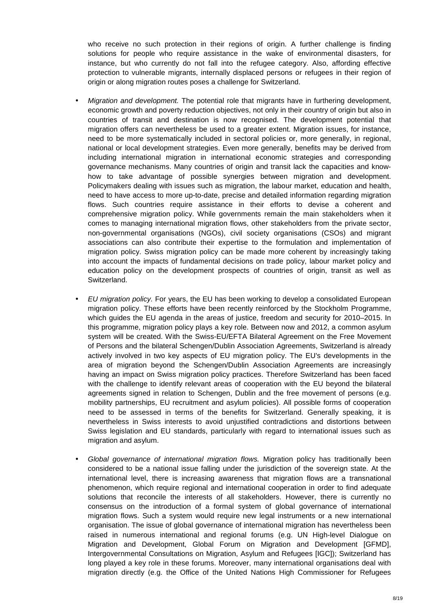who receive no such protection in their regions of origin. A further challenge is finding solutions for people who require assistance in the wake of environmental disasters, for instance, but who currently do not fall into the refugee category. Also, affording effective protection to vulnerable migrants, internally displaced persons or refugees in their region of origin or along migration routes poses a challenge for Switzerland.

- Migration and development. The potential role that migrants have in furthering development, economic growth and poverty reduction objectives, not only in their country of origin but also in countries of transit and destination is now recognised. The development potential that migration offers can nevertheless be used to a greater extent. Migration issues, for instance, need to be more systematically included in sectoral policies or, more generally, in regional, national or local development strategies. Even more generally, benefits may be derived from including international migration in international economic strategies and corresponding governance mechanisms. Many countries of origin and transit lack the capacities and knowhow to take advantage of possible synergies between migration and development. Policymakers dealing with issues such as migration, the labour market, education and health, need to have access to more up-to-date, precise and detailed information regarding migration flows. Such countries require assistance in their efforts to devise a coherent and comprehensive migration policy. While governments remain the main stakeholders when it comes to managing international migration flows, other stakeholders from the private sector, non-governmental organisations (NGOs), civil society organisations (CSOs) and migrant associations can also contribute their expertise to the formulation and implementation of migration policy. Swiss migration policy can be made more coherent by increasingly taking into account the impacts of fundamental decisions on trade policy, labour market policy and education policy on the development prospects of countries of origin, transit as well as Switzerland.
- EU migration policy. For years, the EU has been working to develop a consolidated European migration policy. These efforts have been recently reinforced by the Stockholm Programme, which guides the EU agenda in the areas of justice, freedom and security for 2010–2015. In this programme, migration policy plays a key role. Between now and 2012, a common asylum system will be created. With the Swiss-EU/EFTA Bilateral Agreement on the Free Movement of Persons and the bilateral Schengen/Dublin Association Agreements, Switzerland is already actively involved in two key aspects of EU migration policy. The EU's developments in the area of migration beyond the Schengen/Dublin Association Agreements are increasingly having an impact on Swiss migration policy practices. Therefore Switzerland has been faced with the challenge to identify relevant areas of cooperation with the EU beyond the bilateral agreements signed in relation to Schengen, Dublin and the free movement of persons (e.g. mobility partnerships, EU recruitment and asylum policies). All possible forms of cooperation need to be assessed in terms of the benefits for Switzerland. Generally speaking, it is nevertheless in Swiss interests to avoid unjustified contradictions and distortions between Swiss legislation and EU standards, particularly with regard to international issues such as migration and asylum.
- Global governance of international migration flows. Migration policy has traditionally been considered to be a national issue falling under the jurisdiction of the sovereign state. At the international level, there is increasing awareness that migration flows are a transnational phenomenon, which require regional and international cooperation in order to find adequate solutions that reconcile the interests of all stakeholders. However, there is currently no consensus on the introduction of a formal system of global governance of international migration flows. Such a system would require new legal instruments or a new international organisation. The issue of global governance of international migration has nevertheless been raised in numerous international and regional forums (e.g. UN High-level Dialogue on Migration and Development, Global Forum on Migration and Development [GFMD], Intergovernmental Consultations on Migration, Asylum and Refugees [IGC]); Switzerland has long played a key role in these forums. Moreover, many international organisations deal with migration directly (e.g. the Office of the United Nations High Commissioner for Refugees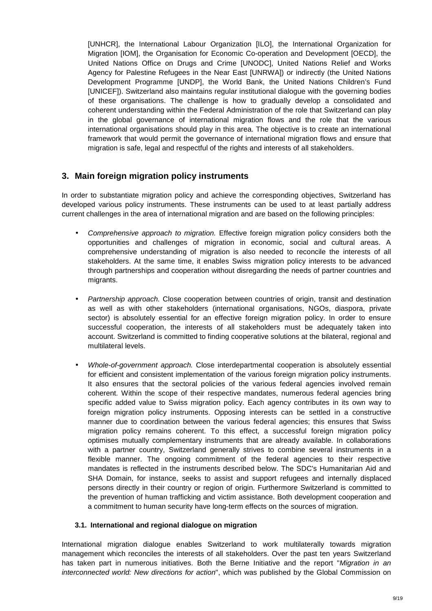[UNHCR], the International Labour Organization [ILO], the International Organization for Migration [IOM], the Organisation for Economic Co-operation and Development [OECD], the United Nations Office on Drugs and Crime [UNODC], United Nations Relief and Works Agency for Palestine Refugees in the Near East [UNRWA]) or indirectly (the United Nations Development Programme [UNDP], the World Bank, the United Nations Children's Fund [UNICEF]). Switzerland also maintains regular institutional dialogue with the governing bodies of these organisations. The challenge is how to gradually develop a consolidated and coherent understanding within the Federal Administration of the role that Switzerland can play in the global governance of international migration flows and the role that the various international organisations should play in this area. The objective is to create an international framework that would permit the governance of international migration flows and ensure that migration is safe, legal and respectful of the rights and interests of all stakeholders.

# **3. Main foreign migration policy instruments**

In order to substantiate migration policy and achieve the corresponding objectives, Switzerland has developed various policy instruments. These instruments can be used to at least partially address current challenges in the area of international migration and are based on the following principles:

- Comprehensive approach to migration. Effective foreign migration policy considers both the opportunities and challenges of migration in economic, social and cultural areas. A comprehensive understanding of migration is also needed to reconcile the interests of all stakeholders. At the same time, it enables Swiss migration policy interests to be advanced through partnerships and cooperation without disregarding the needs of partner countries and migrants.
- Partnership approach. Close cooperation between countries of origin, transit and destination as well as with other stakeholders (international organisations, NGOs, diaspora, private sector) is absolutely essential for an effective foreign migration policy. In order to ensure successful cooperation, the interests of all stakeholders must be adequately taken into account. Switzerland is committed to finding cooperative solutions at the bilateral, regional and multilateral levels.
- Whole-of-government approach. Close interdepartmental cooperation is absolutely essential for efficient and consistent implementation of the various foreign migration policy instruments. It also ensures that the sectoral policies of the various federal agencies involved remain coherent. Within the scope of their respective mandates, numerous federal agencies bring specific added value to Swiss migration policy. Each agency contributes in its own way to foreign migration policy instruments. Opposing interests can be settled in a constructive manner due to coordination between the various federal agencies; this ensures that Swiss migration policy remains coherent. To this effect, a successful foreign migration policy optimises mutually complementary instruments that are already available. In collaborations with a partner country, Switzerland generally strives to combine several instruments in a flexible manner. The ongoing commitment of the federal agencies to their respective mandates is reflected in the instruments described below. The SDC's Humanitarian Aid and SHA Domain, for instance, seeks to assist and support refugees and internally displaced persons directly in their country or region of origin. Furthermore Switzerland is committed to the prevention of human trafficking and victim assistance. Both development cooperation and a commitment to human security have long-term effects on the sources of migration.

#### **3.1. International and regional dialogue on migration**

International migration dialogue enables Switzerland to work multilaterally towards migration management which reconciles the interests of all stakeholders. Over the past ten years Switzerland has taken part in numerous initiatives. Both the Berne Initiative and the report "Migration in an interconnected world: New directions for action", which was published by the Global Commission on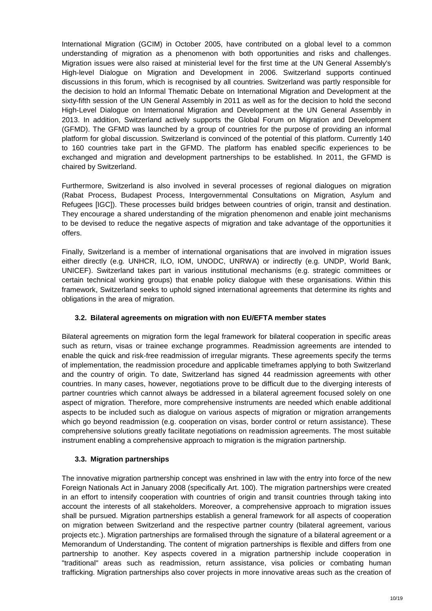International Migration (GCIM) in October 2005, have contributed on a global level to a common understanding of migration as a phenomenon with both opportunities and risks and challenges. Migration issues were also raised at ministerial level for the first time at the UN General Assembly's High-level Dialogue on Migration and Development in 2006. Switzerland supports continued discussions in this forum, which is recognised by all countries. Switzerland was partly responsible for the decision to hold an Informal Thematic Debate on International Migration and Development at the sixty-fifth session of the UN General Assembly in 2011 as well as for the decision to hold the second High-Level Dialogue on International Migration and Development at the UN General Assembly in 2013. In addition, Switzerland actively supports the Global Forum on Migration and Development (GFMD). The GFMD was launched by a group of countries for the purpose of providing an informal platform for global discussion. Switzerland is convinced of the potential of this platform. Currently 140 to 160 countries take part in the GFMD. The platform has enabled specific experiences to be exchanged and migration and development partnerships to be established. In 2011, the GFMD is chaired by Switzerland.

Furthermore, Switzerland is also involved in several processes of regional dialogues on migration (Rabat Process, Budapest Process, Intergovernmental Consultations on Migration, Asylum and Refugees [IGC]). These processes build bridges between countries of origin, transit and destination. They encourage a shared understanding of the migration phenomenon and enable joint mechanisms to be devised to reduce the negative aspects of migration and take advantage of the opportunities it offers.

Finally, Switzerland is a member of international organisations that are involved in migration issues either directly (e.g. UNHCR, ILO, IOM, UNODC, UNRWA) or indirectly (e.g. UNDP, World Bank, UNICEF). Switzerland takes part in various institutional mechanisms (e.g. strategic committees or certain technical working groups) that enable policy dialogue with these organisations. Within this framework, Switzerland seeks to uphold signed international agreements that determine its rights and obligations in the area of migration.

## **3.2. Bilateral agreements on migration with non EU/EFTA member states**

Bilateral agreements on migration form the legal framework for bilateral cooperation in specific areas such as return, visas or trainee exchange programmes. Readmission agreements are intended to enable the quick and risk-free readmission of irregular migrants. These agreements specify the terms of implementation, the readmission procedure and applicable timeframes applying to both Switzerland and the country of origin. To date, Switzerland has signed 44 readmission agreements with other countries. In many cases, however, negotiations prove to be difficult due to the diverging interests of partner countries which cannot always be addressed in a bilateral agreement focused solely on one aspect of migration. Therefore, more comprehensive instruments are needed which enable additional aspects to be included such as dialogue on various aspects of migration or migration arrangements which go beyond readmission (e.g. cooperation on visas, border control or return assistance). These comprehensive solutions greatly facilitate negotiations on readmission agreements. The most suitable instrument enabling a comprehensive approach to migration is the migration partnership.

## **3.3. Migration partnerships**

The innovative migration partnership concept was enshrined in law with the entry into force of the new Foreign Nationals Act in January 2008 (specifically Art. 100). The migration partnerships were created in an effort to intensify cooperation with countries of origin and transit countries through taking into account the interests of all stakeholders. Moreover, a comprehensive approach to migration issues shall be pursued. Migration partnerships establish a general framework for all aspects of cooperation on migration between Switzerland and the respective partner country (bilateral agreement, various projects etc.). Migration partnerships are formalised through the signature of a bilateral agreement or a Memorandum of Understanding. The content of migration partnerships is flexible and differs from one partnership to another. Key aspects covered in a migration partnership include cooperation in "traditional" areas such as readmission, return assistance, visa policies or combating human trafficking. Migration partnerships also cover projects in more innovative areas such as the creation of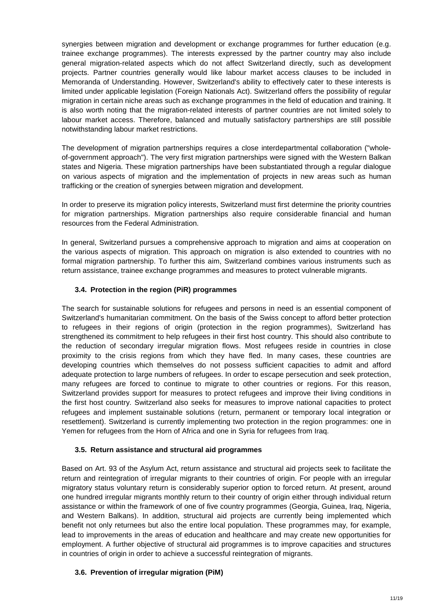synergies between migration and development or exchange programmes for further education (e.g. trainee exchange programmes). The interests expressed by the partner country may also include general migration-related aspects which do not affect Switzerland directly, such as development projects. Partner countries generally would like labour market access clauses to be included in Memoranda of Understanding. However, Switzerland's ability to effectively cater to these interests is limited under applicable legislation (Foreign Nationals Act). Switzerland offers the possibility of regular migration in certain niche areas such as exchange programmes in the field of education and training. It is also worth noting that the migration-related interests of partner countries are not limited solely to labour market access. Therefore, balanced and mutually satisfactory partnerships are still possible notwithstanding labour market restrictions.

The development of migration partnerships requires a close interdepartmental collaboration ("wholeof-government approach"). The very first migration partnerships were signed with the Western Balkan states and Nigeria. These migration partnerships have been substantiated through a regular dialogue on various aspects of migration and the implementation of projects in new areas such as human trafficking or the creation of synergies between migration and development.

In order to preserve its migration policy interests, Switzerland must first determine the priority countries for migration partnerships. Migration partnerships also require considerable financial and human resources from the Federal Administration.

In general, Switzerland pursues a comprehensive approach to migration and aims at cooperation on the various aspects of migration. This approach on migration is also extended to countries with no formal migration partnership. To further this aim, Switzerland combines various instruments such as return assistance, trainee exchange programmes and measures to protect vulnerable migrants.

## **3.4. Protection in the region (PiR) programmes**

The search for sustainable solutions for refugees and persons in need is an essential component of Switzerland's humanitarian commitment. On the basis of the Swiss concept to afford better protection to refugees in their regions of origin (protection in the region programmes), Switzerland has strengthened its commitment to help refugees in their first host country. This should also contribute to the reduction of secondary irregular migration flows. Most refugees reside in countries in close proximity to the crisis regions from which they have fled. In many cases, these countries are developing countries which themselves do not possess sufficient capacities to admit and afford adequate protection to large numbers of refugees. In order to escape persecution and seek protection, many refugees are forced to continue to migrate to other countries or regions. For this reason, Switzerland provides support for measures to protect refugees and improve their living conditions in the first host country. Switzerland also seeks for measures to improve national capacities to protect refugees and implement sustainable solutions (return, permanent or temporary local integration or resettlement). Switzerland is currently implementing two protection in the region programmes: one in Yemen for refugees from the Horn of Africa and one in Syria for refugees from Iraq.

#### **3.5. Return assistance and structural aid programmes**

Based on Art. 93 of the Asylum Act, return assistance and structural aid projects seek to facilitate the return and reintegration of irregular migrants to their countries of origin. For people with an irregular migratory status voluntary return is considerably superior option to forced return. At present, around one hundred irregular migrants monthly return to their country of origin either through individual return assistance or within the framework of one of five country programmes (Georgia, Guinea, Iraq, Nigeria, and Western Balkans). In addition, structural aid projects are currently being implemented which benefit not only returnees but also the entire local population. These programmes may, for example, lead to improvements in the areas of education and healthcare and may create new opportunities for employment. A further objective of structural aid programmes is to improve capacities and structures in countries of origin in order to achieve a successful reintegration of migrants.

#### **3.6. Prevention of irregular migration (PiM)**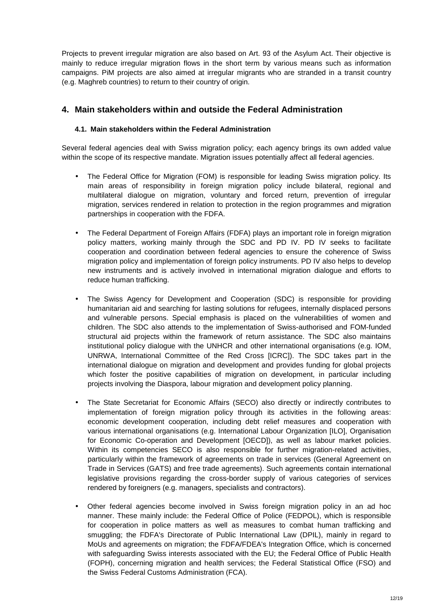Projects to prevent irregular migration are also based on Art. 93 of the Asylum Act. Their objective is mainly to reduce irregular migration flows in the short term by various means such as information campaigns. PiM projects are also aimed at irregular migrants who are stranded in a transit country (e.g. Maghreb countries) to return to their country of origin.

# **4. Main stakeholders within and outside the Federal Administration**

#### **4.1. Main stakeholders within the Federal Administration**

Several federal agencies deal with Swiss migration policy; each agency brings its own added value within the scope of its respective mandate. Migration issues potentially affect all federal agencies.

- The Federal Office for Migration (FOM) is responsible for leading Swiss migration policy. Its main areas of responsibility in foreign migration policy include bilateral, regional and multilateral dialogue on migration, voluntary and forced return, prevention of irregular migration, services rendered in relation to protection in the region programmes and migration partnerships in cooperation with the FDFA.
- The Federal Department of Foreign Affairs (FDFA) plays an important role in foreign migration policy matters, working mainly through the SDC and PD IV. PD IV seeks to facilitate cooperation and coordination between federal agencies to ensure the coherence of Swiss migration policy and implementation of foreign policy instruments. PD IV also helps to develop new instruments and is actively involved in international migration dialogue and efforts to reduce human trafficking.
- The Swiss Agency for Development and Cooperation (SDC) is responsible for providing humanitarian aid and searching for lasting solutions for refugees, internally displaced persons and vulnerable persons. Special emphasis is placed on the vulnerabilities of women and children. The SDC also attends to the implementation of Swiss-authorised and FOM-funded structural aid projects within the framework of return assistance. The SDC also maintains institutional policy dialogue with the UNHCR and other international organisations (e.g. IOM, UNRWA, International Committee of the Red Cross [ICRC]). The SDC takes part in the international dialogue on migration and development and provides funding for global projects which foster the positive capabilities of migration on development, in particular including projects involving the Diaspora, labour migration and development policy planning.
- The State Secretariat for Economic Affairs (SECO) also directly or indirectly contributes to implementation of foreign migration policy through its activities in the following areas: economic development cooperation, including debt relief measures and cooperation with various international organisations (e.g. International Labour Organization [ILO], Organisation for Economic Co-operation and Development [OECD]), as well as labour market policies. Within its competencies SECO is also responsible for further migration-related activities, particularly within the framework of agreements on trade in services (General Agreement on Trade in Services (GATS) and free trade agreements). Such agreements contain international legislative provisions regarding the cross-border supply of various categories of services rendered by foreigners (e.g. managers, specialists and contractors).
- Other federal agencies become involved in Swiss foreign migration policy in an ad hoc manner. These mainly include: the Federal Office of Police (FEDPOL), which is responsible for cooperation in police matters as well as measures to combat human trafficking and smuggling; the FDFA's Directorate of Public International Law (DPIL), mainly in regard to MoUs and agreements on migration; the FDFA/FDEA's Integration Office, which is concerned with safeguarding Swiss interests associated with the EU; the Federal Office of Public Health (FOPH), concerning migration and health services; the Federal Statistical Office (FSO) and the Swiss Federal Customs Administration (FCA).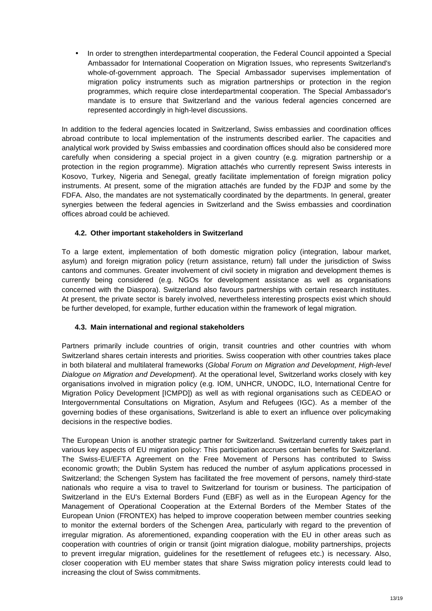• In order to strengthen interdepartmental cooperation, the Federal Council appointed a Special Ambassador for International Cooperation on Migration Issues, who represents Switzerland's whole-of-government approach. The Special Ambassador supervises implementation of migration policy instruments such as migration partnerships or protection in the region programmes, which require close interdepartmental cooperation. The Special Ambassador's mandate is to ensure that Switzerland and the various federal agencies concerned are represented accordingly in high-level discussions.

In addition to the federal agencies located in Switzerland, Swiss embassies and coordination offices abroad contribute to local implementation of the instruments described earlier. The capacities and analytical work provided by Swiss embassies and coordination offices should also be considered more carefully when considering a special project in a given country (e.g. migration partnership or a protection in the region programme). Migration attachés who currently represent Swiss interests in Kosovo, Turkey, Nigeria and Senegal, greatly facilitate implementation of foreign migration policy instruments. At present, some of the migration attachés are funded by the FDJP and some by the FDFA. Also, the mandates are not systematically coordinated by the departments. In general, greater synergies between the federal agencies in Switzerland and the Swiss embassies and coordination offices abroad could be achieved.

#### **4.2. Other important stakeholders in Switzerland**

To a large extent, implementation of both domestic migration policy (integration, labour market, asylum) and foreign migration policy (return assistance, return) fall under the jurisdiction of Swiss cantons and communes. Greater involvement of civil society in migration and development themes is currently being considered (e.g. NGOs for development assistance as well as organisations concerned with the Diaspora). Switzerland also favours partnerships with certain research institutes. At present, the private sector is barely involved, nevertheless interesting prospects exist which should be further developed, for example, further education within the framework of legal migration.

#### **4.3. Main international and regional stakeholders**

Partners primarily include countries of origin, transit countries and other countries with whom Switzerland shares certain interests and priorities. Swiss cooperation with other countries takes place in both bilateral and multilateral frameworks (Global Forum on Migration and Development, High-level Dialogue on Migration and Development). At the operational level, Switzerland works closely with key organisations involved in migration policy (e.g. IOM, UNHCR, UNODC, ILO, International Centre for Migration Policy Development [ICMPD]) as well as with regional organisations such as CEDEAO or Intergovernmental Consultations on Migration, Asylum and Refugees (IGC). As a member of the governing bodies of these organisations, Switzerland is able to exert an influence over policymaking decisions in the respective bodies.

The European Union is another strategic partner for Switzerland. Switzerland currently takes part in various key aspects of EU migration policy: This participation accrues certain benefits for Switzerland. The Swiss-EU/EFTA Agreement on the Free Movement of Persons has contributed to Swiss economic growth; the Dublin System has reduced the number of asylum applications processed in Switzerland; the Schengen System has facilitated the free movement of persons, namely third-state nationals who require a visa to travel to Switzerland for tourism or business. The participation of Switzerland in the EU's External Borders Fund (EBF) as well as in the European Agency for the Management of Operational Cooperation at the External Borders of the Member States of the European Union (FRONTEX) has helped to improve cooperation between member countries seeking to monitor the external borders of the Schengen Area, particularly with regard to the prevention of irregular migration. As aforementioned, expanding cooperation with the EU in other areas such as cooperation with countries of origin or transit (joint migration dialogue, mobility partnerships, projects to prevent irregular migration, guidelines for the resettlement of refugees etc.) is necessary. Also, closer cooperation with EU member states that share Swiss migration policy interests could lead to increasing the clout of Swiss commitments.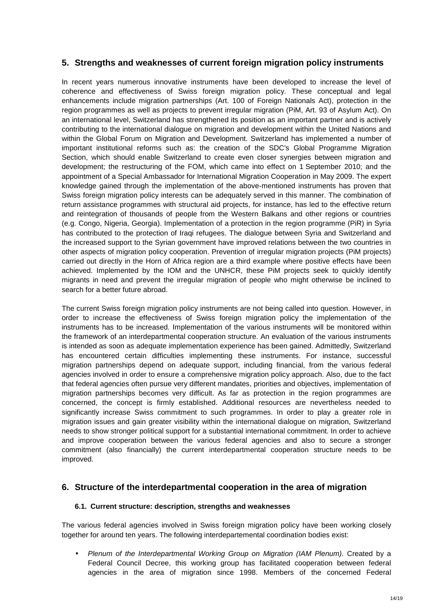# **5. Strengths and weaknesses of current foreign migration policy instruments**

In recent years numerous innovative instruments have been developed to increase the level of coherence and effectiveness of Swiss foreign migration policy. These conceptual and legal enhancements include migration partnerships (Art. 100 of Foreign Nationals Act), protection in the region programmes as well as projects to prevent irregular migration (PiM, Art. 93 of Asylum Act). On an international level, Switzerland has strengthened its position as an important partner and is actively contributing to the international dialogue on migration and development within the United Nations and within the Global Forum on Migration and Development. Switzerland has implemented a number of important institutional reforms such as: the creation of the SDC's Global Programme Migration Section, which should enable Switzerland to create even closer synergies between migration and development; the restructuring of the FOM, which came into effect on 1 September 2010; and the appointment of a Special Ambassador for International Migration Cooperation in May 2009. The expert knowledge gained through the implementation of the above-mentioned instruments has proven that Swiss foreign migration policy interests can be adequately served in this manner. The combination of return assistance programmes with structural aid projects, for instance, has led to the effective return and reintegration of thousands of people from the Western Balkans and other regions or countries (e.g. Congo, Nigeria, Georgia). Implementation of a protection in the region programme (PiR) in Syria has contributed to the protection of Iraqi refugees. The dialogue between Syria and Switzerland and the increased support to the Syrian government have improved relations between the two countries in other aspects of migration policy cooperation. Prevention of irregular migration projects (PiM projects) carried out directly in the Horn of Africa region are a third example where positive effects have been achieved. Implemented by the IOM and the UNHCR, these PiM projects seek to quickly identify migrants in need and prevent the irregular migration of people who might otherwise be inclined to search for a better future abroad.

The current Swiss foreign migration policy instruments are not being called into question. However, in order to increase the effectiveness of Swiss foreign migration policy the implementation of the instruments has to be increased. Implementation of the various instruments will be monitored within the framework of an interdepartmental cooperation structure. An evaluation of the various instruments is intended as soon as adequate implementation experience has been gained. Admittedly, Switzerland has encountered certain difficulties implementing these instruments. For instance, successful migration partnerships depend on adequate support, including financial, from the various federal agencies involved in order to ensure a comprehensive migration policy approach. Also, due to the fact that federal agencies often pursue very different mandates, priorities and objectives, implementation of migration partnerships becomes very difficult. As far as protection in the region programmes are concerned, the concept is firmly established. Additional resources are nevertheless needed to significantly increase Swiss commitment to such programmes. In order to play a greater role in migration issues and gain greater visibility within the international dialogue on migration, Switzerland needs to show stronger political support for a substantial international commitment. In order to achieve and improve cooperation between the various federal agencies and also to secure a stronger commitment (also financially) the current interdepartmental cooperation structure needs to be improved.

## **6. Structure of the interdepartmental cooperation in the area of migration**

#### **6.1. Current structure: description, strengths and weaknesses**

The various federal agencies involved in Swiss foreign migration policy have been working closely together for around ten years. The following interdepartemental coordination bodies exist:

• Plenum of the Interdepartmental Working Group on Migration (IAM Plenum). Created by a Federal Council Decree, this working group has facilitated cooperation between federal agencies in the area of migration since 1998. Members of the concerned Federal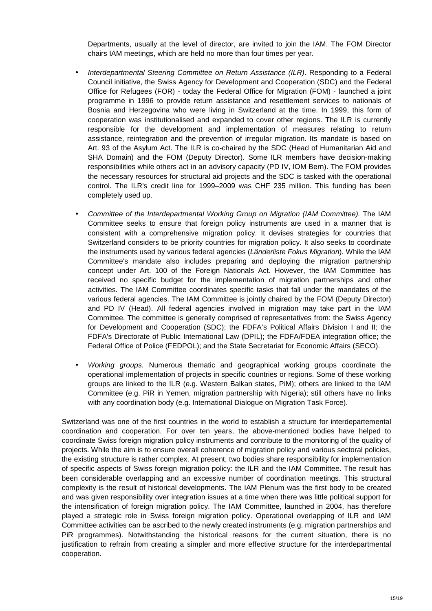Departments, usually at the level of director, are invited to join the IAM. The FOM Director chairs IAM meetings, which are held no more than four times per year.

- Interdepartmental Steering Committee on Return Assistance (ILR). Responding to a Federal Council initiative, the Swiss Agency for Development and Cooperation (SDC) and the Federal Office for Refugees (FOR) - today the Federal Office for Migration (FOM) - launched a joint programme in 1996 to provide return assistance and resettlement services to nationals of Bosnia and Herzegovina who were living in Switzerland at the time. In 1999, this form of cooperation was institutionalised and expanded to cover other regions. The ILR is currently responsible for the development and implementation of measures relating to return assistance, reintegration and the prevention of irregular migration. Its mandate is based on Art. 93 of the Asylum Act. The ILR is co-chaired by the SDC (Head of Humanitarian Aid and SHA Domain) and the FOM (Deputy Director). Some ILR members have decision-making responsibilities while others act in an advisory capacity (PD IV, IOM Bern). The FOM provides the necessary resources for structural aid projects and the SDC is tasked with the operational control. The ILR's credit line for 1999–2009 was CHF 235 million. This funding has been completely used up.
- Committee of the Interdepartmental Working Group on Migration (IAM Committee). The IAM Committee seeks to ensure that foreign policy instruments are used in a manner that is consistent with a comprehensive migration policy. It devises strategies for countries that Switzerland considers to be priority countries for migration policy. It also seeks to coordinate the instruments used by various federal agencies (Länderliste Fokus Migration). While the IAM Committee's mandate also includes preparing and deploying the migration partnership concept under Art. 100 of the Foreign Nationals Act. However, the IAM Committee has received no specific budget for the implementation of migration partnerships and other activities. The IAM Committee coordinates specific tasks that fall under the mandates of the various federal agencies. The IAM Committee is jointly chaired by the FOM (Deputy Director) and PD IV (Head). All federal agencies involved in migration may take part in the IAM Committee. The committee is generally comprised of representatives from: the Swiss Agency for Development and Cooperation (SDC); the FDFA's Political Affairs Division I and II; the FDFA's Directorate of Public International Law (DPIL); the FDFA/FDEA integration office; the Federal Office of Police (FEDPOL); and the State Secretariat for Economic Affairs (SECO).
- Working groups. Numerous thematic and geographical working groups coordinate the operational implementation of projects in specific countries or regions. Some of these working groups are linked to the ILR (e.g. Western Balkan states, PiM); others are linked to the IAM Committee (e.g. PiR in Yemen, migration partnership with Nigeria); still others have no links with any coordination body (e.g. International Dialogue on Migration Task Force).

Switzerland was one of the first countries in the world to establish a structure for interdepartemental coordination and cooperation. For over ten years, the above-mentioned bodies have helped to coordinate Swiss foreign migration policy instruments and contribute to the monitoring of the quality of projects. While the aim is to ensure overall coherence of migration policy and various sectoral policies, the existing structure is rather complex. At present, two bodies share responsibility for implementation of specific aspects of Swiss foreign migration policy: the ILR and the IAM Committee. The result has been considerable overlapping and an excessive number of coordination meetings. This structural complexity is the result of historical developments. The IAM Plenum was the first body to be created and was given responsibility over integration issues at a time when there was little political support for the intensification of foreign migration policy. The IAM Committee, launched in 2004, has therefore played a strategic role in Swiss foreign migration policy. Operational overlapping of ILR and IAM Committee activities can be ascribed to the newly created instruments (e.g. migration partnerships and PiR programmes). Notwithstanding the historical reasons for the current situation, there is no justification to refrain from creating a simpler and more effective structure for the interdepartmental cooperation.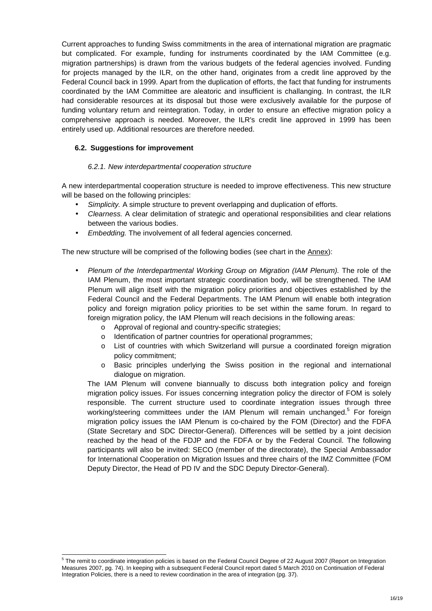Current approaches to funding Swiss commitments in the area of international migration are pragmatic but complicated. For example, funding for instruments coordinated by the IAM Committee (e.g. migration partnerships) is drawn from the various budgets of the federal agencies involved. Funding for projects managed by the ILR, on the other hand, originates from a credit line approved by the Federal Council back in 1999. Apart from the duplication of efforts, the fact that funding for instruments coordinated by the IAM Committee are aleatoric and insufficient is challanging. In contrast, the ILR had considerable resources at its disposal but those were exclusively available for the purpose of funding voluntary return and reintegration. Today, in order to ensure an effective migration policy a comprehensive approach is needed. Moreover, the ILR's credit line approved in 1999 has been entirely used up. Additional resources are therefore needed.

#### **6.2. Suggestions for improvement**

#### 6.2.1. New interdepartmental cooperation structure

A new interdepartmental cooperation structure is needed to improve effectiveness. This new structure will be based on the following principles:

- Simplicity. A simple structure to prevent overlapping and duplication of efforts.
- Clearness. A clear delimitation of strategic and operational responsibilities and clear relations between the various bodies.
- Embedding. The involvement of all federal agencies concerned.

The new structure will be comprised of the following bodies (see chart in the Annex):

- Plenum of the Interdepartmental Working Group on Migration (IAM Plenum). The role of the IAM Plenum, the most important strategic coordination body, will be strengthened. The IAM Plenum will align itself with the migration policy priorities and objectives established by the Federal Council and the Federal Departments. The IAM Plenum will enable both integration policy and foreign migration policy priorities to be set within the same forum. In regard to foreign migration policy, the IAM Plenum will reach decisions in the following areas:
	- o Approval of regional and country-specific strategies;
	- o Identification of partner countries for operational programmes;
	- o List of countries with which Switzerland will pursue a coordinated foreign migration policy commitment;
	- o Basic principles underlying the Swiss position in the regional and international dialogue on migration.

The IAM Plenum will convene biannually to discuss both integration policy and foreign migration policy issues. For issues concerning integration policy the director of FOM is solely responsible. The current structure used to coordinate integration issues through three working/steering committees under the IAM Plenum will remain unchanged.<sup>5</sup> For foreign migration policy issues the IAM Plenum is co-chaired by the FOM (Director) and the FDFA (State Secretary and SDC Director-General). Differences will be settled by a joint decision reached by the head of the FDJP and the FDFA or by the Federal Council. The following participants will also be invited: SECO (member of the directorate), the Special Ambassador for International Cooperation on Migration Issues and three chairs of the IMZ Committee (FOM Deputy Director, the Head of PD IV and the SDC Deputy Director-General).

 5 The remit to coordinate integration policies is based on the Federal Council Degree of 22 August 2007 (Report on Integration Measures 2007, pg. 74). In keeping with a subsequent Federal Council report dated 5 March 2010 on Continuation of Federal Integration Policies, there is a need to review coordination in the area of integration (pg. 37).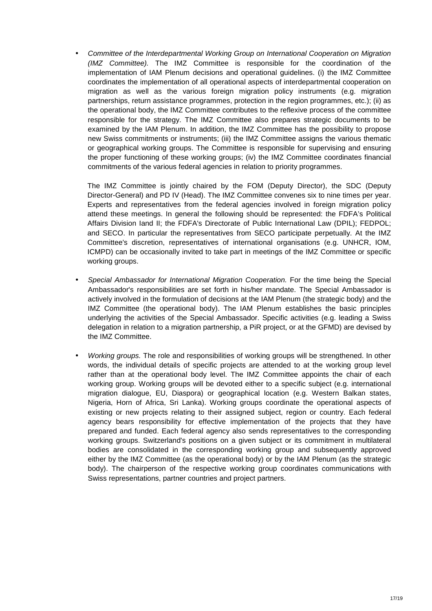• Committee of the Interdepartmental Working Group on International Cooperation on Migration (IMZ Committee). The IMZ Committee is responsible for the coordination of the implementation of IAM Plenum decisions and operational guidelines. (i) the IMZ Committee coordinates the implementation of all operational aspects of interdepartmental cooperation on migration as well as the various foreign migration policy instruments (e.g. migration partnerships, return assistance programmes, protection in the region programmes, etc.); (ii) as the operational body, the IMZ Committee contributes to the reflexive process of the committee responsible for the strategy. The IMZ Committee also prepares strategic documents to be examined by the IAM Plenum. In addition, the IMZ Committee has the possibility to propose new Swiss commitments or instruments; (iii) the IMZ Committee assigns the various thematic or geographical working groups. The Committee is responsible for supervising and ensuring the proper functioning of these working groups; (iv) the IMZ Committee coordinates financial commitments of the various federal agencies in relation to priority programmes.

The IMZ Committee is jointly chaired by the FOM (Deputy Director), the SDC (Deputy Director-General) and PD IV (Head). The IMZ Committee convenes six to nine times per year. Experts and representatives from the federal agencies involved in foreign migration policy attend these meetings. In general the following should be represented: the FDFA's Political Affairs Division Iand II; the FDFA's Directorate of Public International Law (DPIL); FEDPOL; and SECO. In particular the representatives from SECO participate perpetually. At the IMZ Committee's discretion, representatives of international organisations (e.g. UNHCR, IOM, ICMPD) can be occasionally invited to take part in meetings of the IMZ Committee or specific working groups.

- Special Ambassador for International Migration Cooperation. For the time being the Special Ambassador's responsibilities are set forth in his/her mandate. The Special Ambassador is actively involved in the formulation of decisions at the IAM Plenum (the strategic body) and the IMZ Committee (the operational body). The IAM Plenum establishes the basic principles underlying the activities of the Special Ambassador. Specific activities (e.g. leading a Swiss delegation in relation to a migration partnership, a PiR project, or at the GFMD) are devised by the IMZ Committee.
- Working groups. The role and responsibilities of working groups will be strengthened. In other words, the individual details of specific projects are attended to at the working group level rather than at the operational body level. The IMZ Committee appoints the chair of each working group. Working groups will be devoted either to a specific subject (e.g. international migration dialogue, EU, Diaspora) or geographical location (e.g. Western Balkan states, Nigeria, Horn of Africa, Sri Lanka). Working groups coordinate the operational aspects of existing or new projects relating to their assigned subject, region or country. Each federal agency bears responsibility for effective implementation of the projects that they have prepared and funded. Each federal agency also sends representatives to the corresponding working groups. Switzerland's positions on a given subject or its commitment in multilateral bodies are consolidated in the corresponding working group and subsequently approved either by the IMZ Committee (as the operational body) or by the IAM Plenum (as the strategic body). The chairperson of the respective working group coordinates communications with Swiss representations, partner countries and project partners.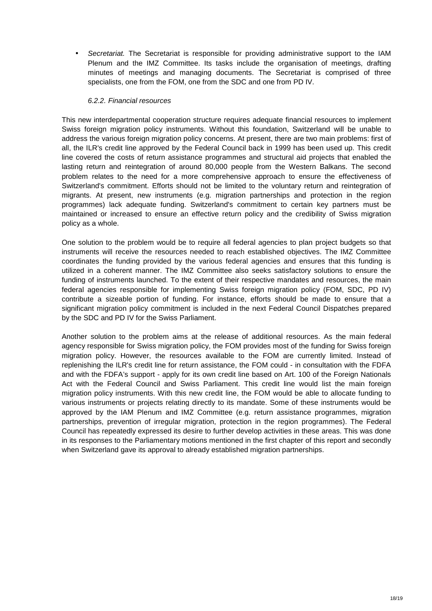Secretariat. The Secretariat is responsible for providing administrative support to the IAM Plenum and the IMZ Committee. Its tasks include the organisation of meetings, drafting minutes of meetings and managing documents. The Secretariat is comprised of three specialists, one from the FOM, one from the SDC and one from PD IV.

#### 6.2.2. Financial resources

This new interdepartmental cooperation structure requires adequate financial resources to implement Swiss foreign migration policy instruments. Without this foundation, Switzerland will be unable to address the various foreign migration policy concerns. At present, there are two main problems: first of all, the ILR's credit line approved by the Federal Council back in 1999 has been used up. This credit line covered the costs of return assistance programmes and structural aid projects that enabled the lasting return and reintegration of around 80,000 people from the Western Balkans. The second problem relates to the need for a more comprehensive approach to ensure the effectiveness of Switzerland's commitment. Efforts should not be limited to the voluntary return and reintegration of migrants. At present, new instruments (e.g. migration partnerships and protection in the region programmes) lack adequate funding. Switzerland's commitment to certain key partners must be maintained or increased to ensure an effective return policy and the credibility of Swiss migration policy as a whole.

One solution to the problem would be to require all federal agencies to plan project budgets so that instruments will receive the resources needed to reach established objectives. The IMZ Committee coordinates the funding provided by the various federal agencies and ensures that this funding is utilized in a coherent manner. The IMZ Committee also seeks satisfactory solutions to ensure the funding of instruments launched. To the extent of their respective mandates and resources, the main federal agencies responsible for implementing Swiss foreign migration policy (FOM, SDC, PD IV) contribute a sizeable portion of funding. For instance, efforts should be made to ensure that a significant migration policy commitment is included in the next Federal Council Dispatches prepared by the SDC and PD IV for the Swiss Parliament.

Another solution to the problem aims at the release of additional resources. As the main federal agency responsible for Swiss migration policy, the FOM provides most of the funding for Swiss foreign migration policy. However, the resources available to the FOM are currently limited. Instead of replenishing the ILR's credit line for return assistance, the FOM could - in consultation with the FDFA and with the FDFA's support - apply for its own credit line based on Art. 100 of the Foreign Nationals Act with the Federal Council and Swiss Parliament. This credit line would list the main foreign migration policy instruments. With this new credit line, the FOM would be able to allocate funding to various instruments or projects relating directly to its mandate. Some of these instruments would be approved by the IAM Plenum and IMZ Committee (e.g. return assistance programmes, migration partnerships, prevention of irregular migration, protection in the region programmes). The Federal Council has repeatedly expressed its desire to further develop activities in these areas. This was done in its responses to the Parliamentary motions mentioned in the first chapter of this report and secondly when Switzerland gave its approval to already established migration partnerships.